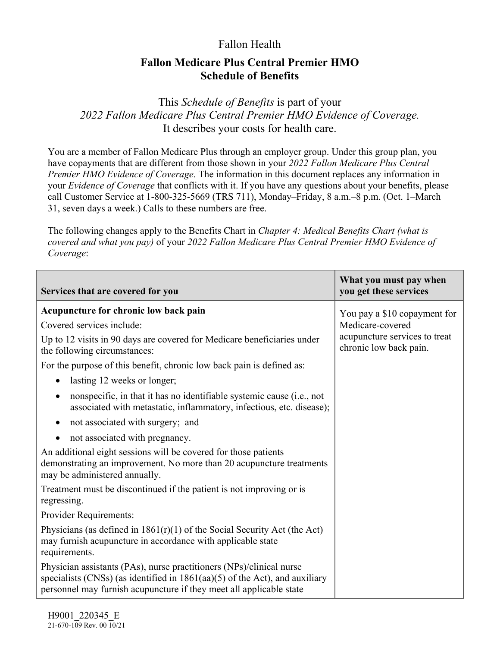## Fallon Health

## **Fallon Medicare Plus Central Premier HMO Schedule of Benefits**

This *Schedule of Benefits* is part of your *2022 Fallon Medicare Plus Central Premier HMO Evidence of Coverage.*  It describes your costs for health care.

You are a member of Fallon Medicare Plus through an employer group. Under this group plan, you have copayments that are different from those shown in your *2022 Fallon Medicare Plus Central Premier HMO Evidence of Coverage*. The information in this document replaces any information in your *Evidence of Coverage* that conflicts with it. If you have any questions about your benefits, please call Customer Service at 1-800-325-5669 (TRS 711), Monday–Friday, 8 a.m.–8 p.m. (Oct. 1–March 31, seven days a week.) Calls to these numbers are free.

The following changes apply to the Benefits Chart in *Chapter 4: Medical Benefits Chart (what is covered and what you pay)* of your *2022 Fallon Medicare Plus Central Premier HMO Evidence of Coverage*:

| Services that are covered for you                                                                                                                                                                                            | What you must pay when<br>you get these services        |
|------------------------------------------------------------------------------------------------------------------------------------------------------------------------------------------------------------------------------|---------------------------------------------------------|
| Acupuncture for chronic low back pain                                                                                                                                                                                        | You pay a \$10 copayment for                            |
| Covered services include:                                                                                                                                                                                                    | Medicare-covered                                        |
| Up to 12 visits in 90 days are covered for Medicare beneficiaries under<br>the following circumstances:                                                                                                                      | acupuncture services to treat<br>chronic low back pain. |
| For the purpose of this benefit, chronic low back pain is defined as:                                                                                                                                                        |                                                         |
| lasting 12 weeks or longer;<br>$\bullet$                                                                                                                                                                                     |                                                         |
| nonspecific, in that it has no identifiable systemic cause (i.e., not<br>$\bullet$<br>associated with metastatic, inflammatory, infectious, etc. disease);                                                                   |                                                         |
| not associated with surgery; and<br>$\bullet$                                                                                                                                                                                |                                                         |
| not associated with pregnancy.<br>٠                                                                                                                                                                                          |                                                         |
| An additional eight sessions will be covered for those patients<br>demonstrating an improvement. No more than 20 acupuncture treatments<br>may be administered annually.                                                     |                                                         |
| Treatment must be discontinued if the patient is not improving or is<br>regressing.                                                                                                                                          |                                                         |
| Provider Requirements:                                                                                                                                                                                                       |                                                         |
| Physicians (as defined in $1861(r)(1)$ of the Social Security Act (the Act)<br>may furnish acupuncture in accordance with applicable state<br>requirements.                                                                  |                                                         |
| Physician assistants (PAs), nurse practitioners (NPs)/clinical nurse<br>specialists (CNSs) (as identified in $1861(aa)(5)$ of the Act), and auxiliary<br>personnel may furnish acupuncture if they meet all applicable state |                                                         |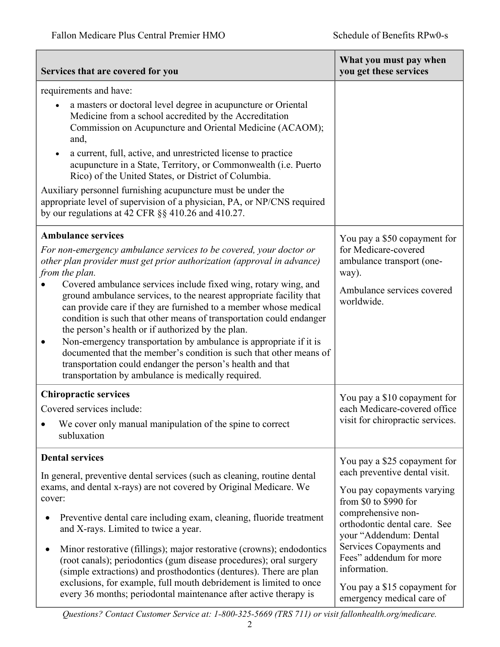| Services that are covered for you                                                                                                                                                                                                                                                                                                                                                                                                                                                                                                                                                                                                                                                                                                                                                                    | What you must pay when<br>you get these services                                                                                                                                                                                                                                                                                        |
|------------------------------------------------------------------------------------------------------------------------------------------------------------------------------------------------------------------------------------------------------------------------------------------------------------------------------------------------------------------------------------------------------------------------------------------------------------------------------------------------------------------------------------------------------------------------------------------------------------------------------------------------------------------------------------------------------------------------------------------------------------------------------------------------------|-----------------------------------------------------------------------------------------------------------------------------------------------------------------------------------------------------------------------------------------------------------------------------------------------------------------------------------------|
| requirements and have:<br>a masters or doctoral level degree in acupuncture or Oriental<br>Medicine from a school accredited by the Accreditation<br>Commission on Acupuncture and Oriental Medicine (ACAOM);<br>and,<br>a current, full, active, and unrestricted license to practice<br>acupuncture in a State, Territory, or Commonwealth (i.e. Puerto<br>Rico) of the United States, or District of Columbia.<br>Auxiliary personnel furnishing acupuncture must be under the<br>appropriate level of supervision of a physician, PA, or NP/CNS required<br>by our regulations at 42 CFR §§ 410.26 and 410.27.                                                                                                                                                                                   |                                                                                                                                                                                                                                                                                                                                         |
| <b>Ambulance services</b><br>For non-emergency ambulance services to be covered, your doctor or<br>other plan provider must get prior authorization (approval in advance)<br>from the plan.<br>Covered ambulance services include fixed wing, rotary wing, and<br>ground ambulance services, to the nearest appropriate facility that<br>can provide care if they are furnished to a member whose medical<br>condition is such that other means of transportation could endanger<br>the person's health or if authorized by the plan.<br>Non-emergency transportation by ambulance is appropriate if it is<br>documented that the member's condition is such that other means of<br>transportation could endanger the person's health and that<br>transportation by ambulance is medically required. | You pay a \$50 copayment for<br>for Medicare-covered<br>ambulance transport (one-<br>way).<br>Ambulance services covered<br>worldwide.                                                                                                                                                                                                  |
| <b>Chiropractic services</b><br>Covered services include:<br>We cover only manual manipulation of the spine to correct<br>subluxation                                                                                                                                                                                                                                                                                                                                                                                                                                                                                                                                                                                                                                                                | You pay a \$10 copayment for<br>each Medicare-covered office<br>visit for chiropractic services.                                                                                                                                                                                                                                        |
| <b>Dental services</b><br>In general, preventive dental services (such as cleaning, routine dental<br>exams, and dental x-rays) are not covered by Original Medicare. We<br>cover:<br>Preventive dental care including exam, cleaning, fluoride treatment<br>and X-rays. Limited to twice a year.<br>Minor restorative (fillings); major restorative (crowns); endodontics<br>(root canals); periodontics (gum disease procedures); oral surgery<br>(simple extractions) and prosthodontics (dentures). There are plan<br>exclusions, for example, full mouth debridement is limited to once<br>every 36 months; periodontal maintenance after active therapy is                                                                                                                                     | You pay a \$25 copayment for<br>each preventive dental visit.<br>You pay copayments varying<br>from \$0 to \$990 for<br>comprehensive non-<br>orthodontic dental care. See<br>your "Addendum: Dental<br>Services Copayments and<br>Fees" addendum for more<br>information.<br>You pay a \$15 copayment for<br>emergency medical care of |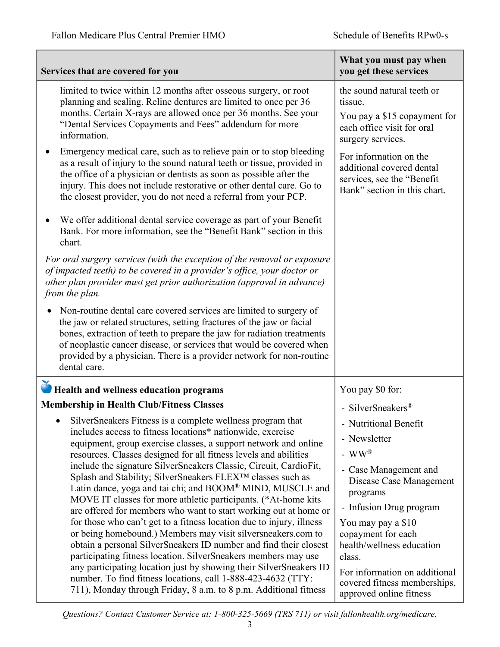| Services that are covered for you                                                                                                                                                                                                                                                                                                                                                                                                                                                                                                                                                                                                                                                                                                                                                                                                                                                                                                                                                                                                                                                                                                                                                                                | What you must pay when<br>you get these services                                                                                                                                                                                                                                                                                      |
|------------------------------------------------------------------------------------------------------------------------------------------------------------------------------------------------------------------------------------------------------------------------------------------------------------------------------------------------------------------------------------------------------------------------------------------------------------------------------------------------------------------------------------------------------------------------------------------------------------------------------------------------------------------------------------------------------------------------------------------------------------------------------------------------------------------------------------------------------------------------------------------------------------------------------------------------------------------------------------------------------------------------------------------------------------------------------------------------------------------------------------------------------------------------------------------------------------------|---------------------------------------------------------------------------------------------------------------------------------------------------------------------------------------------------------------------------------------------------------------------------------------------------------------------------------------|
| limited to twice within 12 months after osseous surgery, or root<br>planning and scaling. Reline dentures are limited to once per 36<br>months. Certain X-rays are allowed once per 36 months. See your<br>"Dental Services Copayments and Fees" addendum for more<br>information.<br>Emergency medical care, such as to relieve pain or to stop bleeding<br>as a result of injury to the sound natural teeth or tissue, provided in<br>the office of a physician or dentists as soon as possible after the<br>injury. This does not include restorative or other dental care. Go to<br>the closest provider, you do not need a referral from your PCP.<br>We offer additional dental service coverage as part of your Benefit<br>Bank. For more information, see the "Benefit Bank" section in this<br>chart.<br>For oral surgery services (with the exception of the removal or exposure<br>of impacted teeth) to be covered in a provider's office, your doctor or<br>other plan provider must get prior authorization (approval in advance)<br>from the plan.<br>Non-routine dental care covered services are limited to surgery of<br>the jaw or related structures, setting fractures of the jaw or facial | the sound natural teeth or<br>tissue.<br>You pay a \$15 copayment for<br>each office visit for oral<br>surgery services.<br>For information on the<br>additional covered dental<br>services, see the "Benefit<br>Bank" section in this chart.                                                                                         |
| bones, extraction of teeth to prepare the jaw for radiation treatments<br>of neoplastic cancer disease, or services that would be covered when<br>provided by a physician. There is a provider network for non-routine<br>dental care.                                                                                                                                                                                                                                                                                                                                                                                                                                                                                                                                                                                                                                                                                                                                                                                                                                                                                                                                                                           |                                                                                                                                                                                                                                                                                                                                       |
| Health and wellness education programs                                                                                                                                                                                                                                                                                                                                                                                                                                                                                                                                                                                                                                                                                                                                                                                                                                                                                                                                                                                                                                                                                                                                                                           | You pay \$0 for:                                                                                                                                                                                                                                                                                                                      |
| <b>Membership in Health Club/Fitness Classes</b>                                                                                                                                                                                                                                                                                                                                                                                                                                                                                                                                                                                                                                                                                                                                                                                                                                                                                                                                                                                                                                                                                                                                                                 | - SilverSneakers®                                                                                                                                                                                                                                                                                                                     |
| SilverSneakers Fitness is a complete wellness program that<br>includes access to fitness locations* nationwide, exercise<br>equipment, group exercise classes, a support network and online<br>resources. Classes designed for all fitness levels and abilities<br>include the signature SilverSneakers Classic, Circuit, CardioFit,<br>Splash and Stability; SilverSneakers FLEXTM classes such as<br>Latin dance, yoga and tai chi; and BOOM® MIND, MUSCLE and<br>MOVE IT classes for more athletic participants. (*At-home kits<br>are offered for members who want to start working out at home or<br>for those who can't get to a fitness location due to injury, illness<br>or being homebound.) Members may visit silversneakers.com to<br>obtain a personal SilverSneakers ID number and find their closest<br>participating fitness location. SilverSneakers members may use<br>any participating location just by showing their SilverSneakers ID<br>number. To find fitness locations, call 1-888-423-4632 (TTY:<br>711), Monday through Friday, 8 a.m. to 8 p.m. Additional fitness                                                                                                                  | - Nutritional Benefit<br>- Newsletter<br>- $WW^{\circledR}$<br>- Case Management and<br>Disease Case Management<br>programs<br>- Infusion Drug program<br>You may pay a \$10<br>copayment for each<br>health/wellness education<br>class.<br>For information on additional<br>covered fitness memberships,<br>approved online fitness |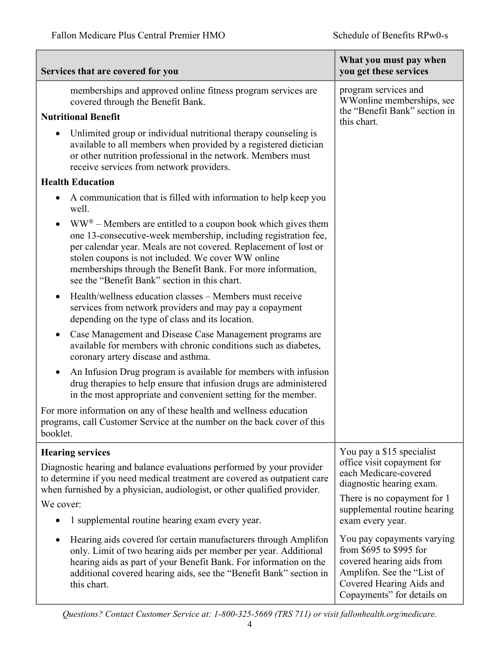| Services that are covered for you                                                                                                                                                                                                                                                                                                                                                      | What you must pay when<br>you get these services                                                                                                                           |
|----------------------------------------------------------------------------------------------------------------------------------------------------------------------------------------------------------------------------------------------------------------------------------------------------------------------------------------------------------------------------------------|----------------------------------------------------------------------------------------------------------------------------------------------------------------------------|
| memberships and approved online fitness program services are<br>covered through the Benefit Bank.                                                                                                                                                                                                                                                                                      | program services and<br>WWonline memberships, see                                                                                                                          |
| <b>Nutritional Benefit</b>                                                                                                                                                                                                                                                                                                                                                             | the "Benefit Bank" section in<br>this chart.                                                                                                                               |
| Unlimited group or individual nutritional therapy counseling is<br>available to all members when provided by a registered dietician<br>or other nutrition professional in the network. Members must<br>receive services from network providers.                                                                                                                                        |                                                                                                                                                                            |
| <b>Health Education</b>                                                                                                                                                                                                                                                                                                                                                                |                                                                                                                                                                            |
| A communication that is filled with information to help keep you<br>$\bullet$<br>well.                                                                                                                                                                                                                                                                                                 |                                                                                                                                                                            |
| $WW^{\circledR}$ – Members are entitled to a coupon book which gives them<br>one 13-consecutive-week membership, including registration fee,<br>per calendar year. Meals are not covered. Replacement of lost or<br>stolen coupons is not included. We cover WW online<br>memberships through the Benefit Bank. For more information,<br>see the "Benefit Bank" section in this chart. |                                                                                                                                                                            |
| Health/wellness education classes – Members must receive<br>services from network providers and may pay a copayment<br>depending on the type of class and its location.                                                                                                                                                                                                                |                                                                                                                                                                            |
| Case Management and Disease Case Management programs are<br>$\bullet$<br>available for members with chronic conditions such as diabetes,<br>coronary artery disease and asthma.                                                                                                                                                                                                        |                                                                                                                                                                            |
| An Infusion Drug program is available for members with infusion<br>$\bullet$<br>drug therapies to help ensure that infusion drugs are administered<br>in the most appropriate and convenient setting for the member.                                                                                                                                                                   |                                                                                                                                                                            |
| For more information on any of these health and wellness education<br>programs, call Customer Service at the number on the back cover of this<br>booklet.                                                                                                                                                                                                                              |                                                                                                                                                                            |
| <b>Hearing services</b>                                                                                                                                                                                                                                                                                                                                                                | You pay a \$15 specialist                                                                                                                                                  |
| Diagnostic hearing and balance evaluations performed by your provider<br>to determine if you need medical treatment are covered as outpatient care<br>when furnished by a physician, audiologist, or other qualified provider.                                                                                                                                                         | office visit copayment for<br>each Medicare-covered<br>diagnostic hearing exam.                                                                                            |
| We cover:                                                                                                                                                                                                                                                                                                                                                                              | There is no copayment for 1<br>supplemental routine hearing                                                                                                                |
| 1 supplemental routine hearing exam every year.                                                                                                                                                                                                                                                                                                                                        | exam every year.                                                                                                                                                           |
| Hearing aids covered for certain manufacturers through Amplifon<br>only. Limit of two hearing aids per member per year. Additional<br>hearing aids as part of your Benefit Bank. For information on the<br>additional covered hearing aids, see the "Benefit Bank" section in<br>this chart.                                                                                           | You pay copayments varying<br>from \$695 to \$995 for<br>covered hearing aids from<br>Amplifon. See the "List of<br>Covered Hearing Aids and<br>Copayments" for details on |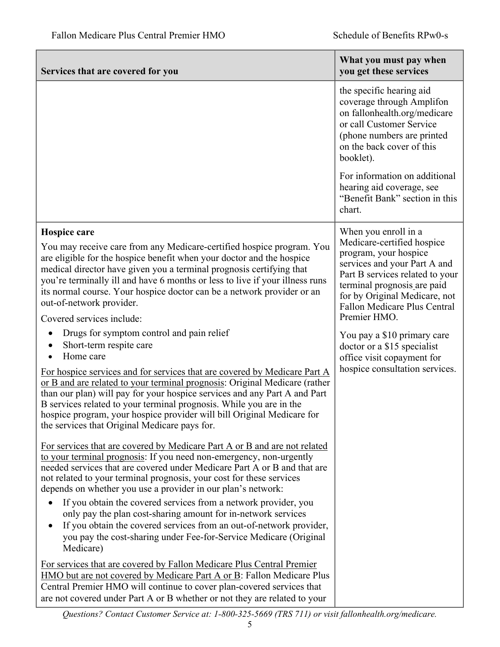| Services that are covered for you                                                                                                                                                                                                                                                                                                                                                                                                                                                                                           | What you must pay when<br>you get these services                                                                                                                                                                                                                      |
|-----------------------------------------------------------------------------------------------------------------------------------------------------------------------------------------------------------------------------------------------------------------------------------------------------------------------------------------------------------------------------------------------------------------------------------------------------------------------------------------------------------------------------|-----------------------------------------------------------------------------------------------------------------------------------------------------------------------------------------------------------------------------------------------------------------------|
|                                                                                                                                                                                                                                                                                                                                                                                                                                                                                                                             | the specific hearing aid<br>coverage through Amplifon<br>on fallonhealth.org/medicare<br>or call Customer Service<br>(phone numbers are printed<br>on the back cover of this<br>booklet).                                                                             |
|                                                                                                                                                                                                                                                                                                                                                                                                                                                                                                                             | For information on additional<br>hearing aid coverage, see<br>"Benefit Bank" section in this<br>chart.                                                                                                                                                                |
| Hospice care<br>You may receive care from any Medicare-certified hospice program. You<br>are eligible for the hospice benefit when your doctor and the hospice<br>medical director have given you a terminal prognosis certifying that<br>you're terminally ill and have 6 months or less to live if your illness runs<br>its normal course. Your hospice doctor can be a network provider or an<br>out-of-network provider.<br>Covered services include:                                                                   | When you enroll in a<br>Medicare-certified hospice<br>program, your hospice<br>services and your Part A and<br>Part B services related to your<br>terminal prognosis are paid<br>for by Original Medicare, not<br><b>Fallon Medicare Plus Central</b><br>Premier HMO. |
| Drugs for symptom control and pain relief<br>Short-term respite care<br>Home care<br>For hospice services and for services that are covered by Medicare Part A<br>or B and are related to your terminal prognosis: Original Medicare (rather<br>than our plan) will pay for your hospice services and any Part A and Part<br>B services related to your terminal prognosis. While you are in the<br>hospice program, your hospice provider will bill Original Medicare for<br>the services that Original Medicare pays for. | You pay a \$10 primary care<br>doctor or a \$15 specialist<br>office visit copayment for<br>hospice consultation services.                                                                                                                                            |
| For services that are covered by Medicare Part A or B and are not related<br>to your terminal prognosis: If you need non-emergency, non-urgently<br>needed services that are covered under Medicare Part A or B and that are<br>not related to your terminal prognosis, your cost for these services<br>depends on whether you use a provider in our plan's network:                                                                                                                                                        |                                                                                                                                                                                                                                                                       |
| If you obtain the covered services from a network provider, you<br>$\bullet$<br>only pay the plan cost-sharing amount for in-network services<br>If you obtain the covered services from an out-of-network provider,<br>you pay the cost-sharing under Fee-for-Service Medicare (Original<br>Medicare)                                                                                                                                                                                                                      |                                                                                                                                                                                                                                                                       |
| For services that are covered by Fallon Medicare Plus Central Premier<br>HMO but are not covered by Medicare Part A or B: Fallon Medicare Plus<br>Central Premier HMO will continue to cover plan-covered services that<br>are not covered under Part A or B whether or not they are related to your                                                                                                                                                                                                                        |                                                                                                                                                                                                                                                                       |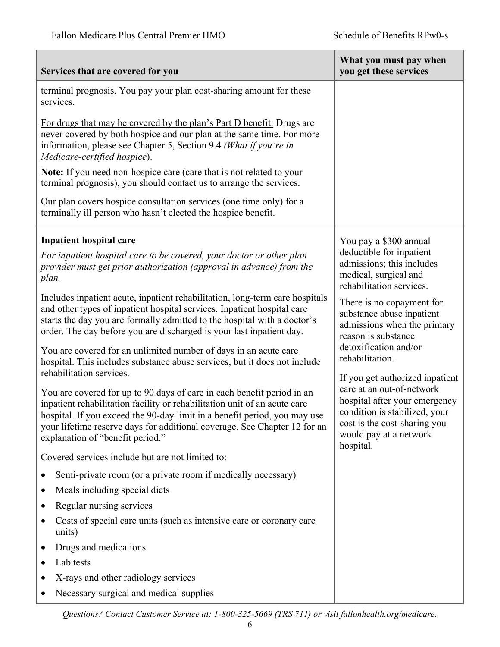| Services that are covered for you                                                                                                                                                                                                                                                                                                                                                                                                                                                                                                                                                                                                                                                                                                                                                                                                                                                                                                                                                                                                                                                                                                                                                                                                                                                                                                                                                                                                   | What you must pay when<br>you get these services                                                                                                                                                                                                                                                                                                                                                                                                                                                          |
|-------------------------------------------------------------------------------------------------------------------------------------------------------------------------------------------------------------------------------------------------------------------------------------------------------------------------------------------------------------------------------------------------------------------------------------------------------------------------------------------------------------------------------------------------------------------------------------------------------------------------------------------------------------------------------------------------------------------------------------------------------------------------------------------------------------------------------------------------------------------------------------------------------------------------------------------------------------------------------------------------------------------------------------------------------------------------------------------------------------------------------------------------------------------------------------------------------------------------------------------------------------------------------------------------------------------------------------------------------------------------------------------------------------------------------------|-----------------------------------------------------------------------------------------------------------------------------------------------------------------------------------------------------------------------------------------------------------------------------------------------------------------------------------------------------------------------------------------------------------------------------------------------------------------------------------------------------------|
| terminal prognosis. You pay your plan cost-sharing amount for these<br>services.<br>For drugs that may be covered by the plan's Part D benefit: Drugs are<br>never covered by both hospice and our plan at the same time. For more<br>information, please see Chapter 5, Section 9.4 (What if you're in<br>Medicare-certified hospice).<br>Note: If you need non-hospice care (care that is not related to your<br>terminal prognosis), you should contact us to arrange the services.<br>Our plan covers hospice consultation services (one time only) for a<br>terminally ill person who hasn't elected the hospice benefit.                                                                                                                                                                                                                                                                                                                                                                                                                                                                                                                                                                                                                                                                                                                                                                                                      |                                                                                                                                                                                                                                                                                                                                                                                                                                                                                                           |
| <b>Inpatient hospital care</b><br>For inpatient hospital care to be covered, your doctor or other plan<br>provider must get prior authorization (approval in advance) from the<br>plan.<br>Includes inpatient acute, inpatient rehabilitation, long-term care hospitals<br>and other types of inpatient hospital services. Inpatient hospital care<br>starts the day you are formally admitted to the hospital with a doctor's<br>order. The day before you are discharged is your last inpatient day.<br>You are covered for an unlimited number of days in an acute care<br>hospital. This includes substance abuse services, but it does not include<br>rehabilitation services.<br>You are covered for up to 90 days of care in each benefit period in an<br>inpatient rehabilitation facility or rehabilitation unit of an acute care<br>hospital. If you exceed the 90-day limit in a benefit period, you may use<br>your lifetime reserve days for additional coverage. See Chapter 12 for an<br>explanation of "benefit period."<br>Covered services include but are not limited to:<br>Semi-private room (or a private room if medically necessary)<br>Meals including special diets<br>Regular nursing services<br>Costs of special care units (such as intensive care or coronary care<br>units)<br>Drugs and medications<br>Lab tests<br>X-rays and other radiology services<br>Necessary surgical and medical supplies | You pay a \$300 annual<br>deductible for inpatient<br>admissions; this includes<br>medical, surgical and<br>rehabilitation services.<br>There is no copayment for<br>substance abuse inpatient<br>admissions when the primary<br>reason is substance<br>detoxification and/or<br>rehabilitation.<br>If you get authorized inpatient<br>care at an out-of-network<br>hospital after your emergency<br>condition is stabilized, your<br>cost is the cost-sharing you<br>would pay at a network<br>hospital. |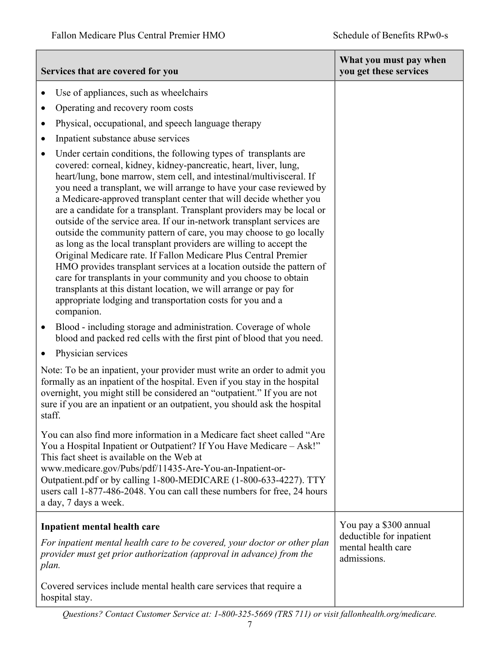|           | Services that are covered for you                                                                                                                                                                                                                                                                                                                                                                                                                                                                                                                                                                                                                                                                                                                                                                                                                                                                                                                                                                                           | What you must pay when<br>you get these services              |
|-----------|-----------------------------------------------------------------------------------------------------------------------------------------------------------------------------------------------------------------------------------------------------------------------------------------------------------------------------------------------------------------------------------------------------------------------------------------------------------------------------------------------------------------------------------------------------------------------------------------------------------------------------------------------------------------------------------------------------------------------------------------------------------------------------------------------------------------------------------------------------------------------------------------------------------------------------------------------------------------------------------------------------------------------------|---------------------------------------------------------------|
|           | Use of appliances, such as wheelchairs                                                                                                                                                                                                                                                                                                                                                                                                                                                                                                                                                                                                                                                                                                                                                                                                                                                                                                                                                                                      |                                                               |
|           | Operating and recovery room costs                                                                                                                                                                                                                                                                                                                                                                                                                                                                                                                                                                                                                                                                                                                                                                                                                                                                                                                                                                                           |                                                               |
| $\bullet$ | Physical, occupational, and speech language therapy                                                                                                                                                                                                                                                                                                                                                                                                                                                                                                                                                                                                                                                                                                                                                                                                                                                                                                                                                                         |                                                               |
| ٠         | Inpatient substance abuse services                                                                                                                                                                                                                                                                                                                                                                                                                                                                                                                                                                                                                                                                                                                                                                                                                                                                                                                                                                                          |                                                               |
| ٠         | Under certain conditions, the following types of transplants are<br>covered: corneal, kidney, kidney-pancreatic, heart, liver, lung,<br>heart/lung, bone marrow, stem cell, and intestinal/multivisceral. If<br>you need a transplant, we will arrange to have your case reviewed by<br>a Medicare-approved transplant center that will decide whether you<br>are a candidate for a transplant. Transplant providers may be local or<br>outside of the service area. If our in-network transplant services are<br>outside the community pattern of care, you may choose to go locally<br>as long as the local transplant providers are willing to accept the<br>Original Medicare rate. If Fallon Medicare Plus Central Premier<br>HMO provides transplant services at a location outside the pattern of<br>care for transplants in your community and you choose to obtain<br>transplants at this distant location, we will arrange or pay for<br>appropriate lodging and transportation costs for you and a<br>companion. |                                                               |
| $\bullet$ | Blood - including storage and administration. Coverage of whole<br>blood and packed red cells with the first pint of blood that you need.                                                                                                                                                                                                                                                                                                                                                                                                                                                                                                                                                                                                                                                                                                                                                                                                                                                                                   |                                                               |
|           | Physician services                                                                                                                                                                                                                                                                                                                                                                                                                                                                                                                                                                                                                                                                                                                                                                                                                                                                                                                                                                                                          |                                                               |
| staff.    | Note: To be an inpatient, your provider must write an order to admit you<br>formally as an inpatient of the hospital. Even if you stay in the hospital<br>overnight, you might still be considered an "outpatient." If you are not<br>sure if you are an inpatient or an outpatient, you should ask the hospital                                                                                                                                                                                                                                                                                                                                                                                                                                                                                                                                                                                                                                                                                                            |                                                               |
|           | You can also find more information in a Medicare fact sheet called "Are<br>You a Hospital Inpatient or Outpatient? If You Have Medicare – Ask!"<br>This fact sheet is available on the Web at<br>www.medicare.gov/Pubs/pdf/11435-Are-You-an-Inpatient-or-<br>Outpatient.pdf or by calling 1-800-MEDICARE (1-800-633-4227). TTY<br>users call 1-877-486-2048. You can call these numbers for free, 24 hours<br>a day, 7 days a week.                                                                                                                                                                                                                                                                                                                                                                                                                                                                                                                                                                                         |                                                               |
|           | Inpatient mental health care                                                                                                                                                                                                                                                                                                                                                                                                                                                                                                                                                                                                                                                                                                                                                                                                                                                                                                                                                                                                | You pay a \$300 annual                                        |
| plan.     | For inpatient mental health care to be covered, your doctor or other plan<br>provider must get prior authorization (approval in advance) from the                                                                                                                                                                                                                                                                                                                                                                                                                                                                                                                                                                                                                                                                                                                                                                                                                                                                           | deductible for inpatient<br>mental health care<br>admissions. |
|           | Covered services include mental health care services that require a<br>hospital stay.                                                                                                                                                                                                                                                                                                                                                                                                                                                                                                                                                                                                                                                                                                                                                                                                                                                                                                                                       |                                                               |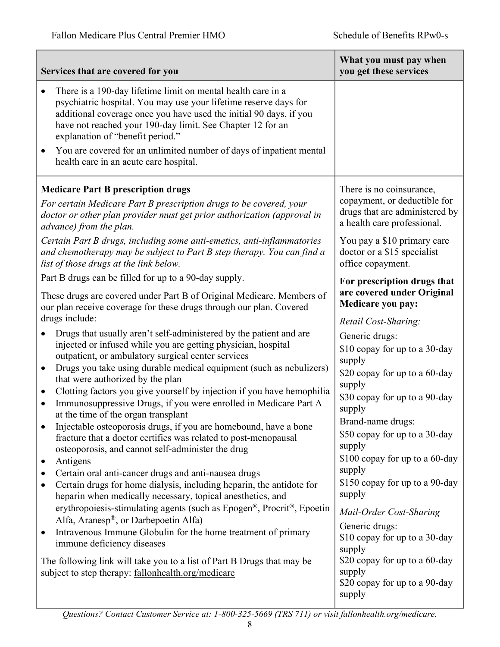| Services that are covered for you                                                                                                                                                                                                                                                                        | What you must pay when<br>you get these services                                              |
|----------------------------------------------------------------------------------------------------------------------------------------------------------------------------------------------------------------------------------------------------------------------------------------------------------|-----------------------------------------------------------------------------------------------|
| There is a 190-day lifetime limit on mental health care in a<br>psychiatric hospital. You may use your lifetime reserve days for<br>additional coverage once you have used the initial 90 days, if you<br>have not reached your 190-day limit. See Chapter 12 for an<br>explanation of "benefit period." |                                                                                               |
| You are covered for an unlimited number of days of inpatient mental<br>health care in an acute care hospital.                                                                                                                                                                                            |                                                                                               |
| <b>Medicare Part B prescription drugs</b>                                                                                                                                                                                                                                                                | There is no coinsurance,                                                                      |
| For certain Medicare Part B prescription drugs to be covered, your<br>doctor or other plan provider must get prior authorization (approval in<br>advance) from the plan.                                                                                                                                 | copayment, or deductible for<br>drugs that are administered by<br>a health care professional. |
| Certain Part B drugs, including some anti-emetics, anti-inflammatories<br>and chemotherapy may be subject to Part B step therapy. You can find a<br>list of those drugs at the link below.                                                                                                               | You pay a \$10 primary care<br>doctor or a \$15 specialist<br>office copayment.               |
| Part B drugs can be filled for up to a 90-day supply.                                                                                                                                                                                                                                                    | For prescription drugs that                                                                   |
| These drugs are covered under Part B of Original Medicare. Members of<br>our plan receive coverage for these drugs through our plan. Covered                                                                                                                                                             | are covered under Original<br>Medicare you pay:                                               |
| drugs include:                                                                                                                                                                                                                                                                                           | Retail Cost-Sharing:                                                                          |
| Drugs that usually aren't self-administered by the patient and are<br>injected or infused while you are getting physician, hospital<br>outpatient, or ambulatory surgical center services                                                                                                                | Generic drugs:<br>\$10 copay for up to a 30-day<br>supply                                     |
| Drugs you take using durable medical equipment (such as nebulizers)<br>$\bullet$<br>that were authorized by the plan                                                                                                                                                                                     | \$20 copay for up to a 60-day<br>supply                                                       |
| Clotting factors you give yourself by injection if you have hemophilia<br>٠<br>Immunosuppressive Drugs, if you were enrolled in Medicare Part A<br>٠<br>at the time of the organ transplant                                                                                                              | \$30 copay for up to a 90-day<br>supply                                                       |
| Injectable osteoporosis drugs, if you are homebound, have a bone<br>fracture that a doctor certifies was related to post-menopausal<br>osteoporosis, and cannot self-administer the drug                                                                                                                 | Brand-name drugs:<br>\$50 copay for up to a 30-day<br>supply                                  |
| Antigens<br>٠                                                                                                                                                                                                                                                                                            | \$100 copay for up to a 60-day<br>supply                                                      |
| Certain oral anti-cancer drugs and anti-nausea drugs<br>Certain drugs for home dialysis, including heparin, the antidote for<br>heparin when medically necessary, topical anesthetics, and                                                                                                               | \$150 copay for up to a 90-day<br>supply                                                      |
| erythropoiesis-stimulating agents (such as Epogen®, Procrit®, Epoetin<br>Alfa, Aranesp®, or Darbepoetin Alfa)                                                                                                                                                                                            | Mail-Order Cost-Sharing                                                                       |
| Intravenous Immune Globulin for the home treatment of primary<br>٠<br>immune deficiency diseases                                                                                                                                                                                                         | Generic drugs:<br>\$10 copay for up to a 30-day<br>supply                                     |
| The following link will take you to a list of Part B Drugs that may be<br>subject to step therapy: fallonhealth.org/medicare                                                                                                                                                                             | \$20 copay for up to a 60-day<br>supply<br>\$20 copay for up to a 90-day<br>supply            |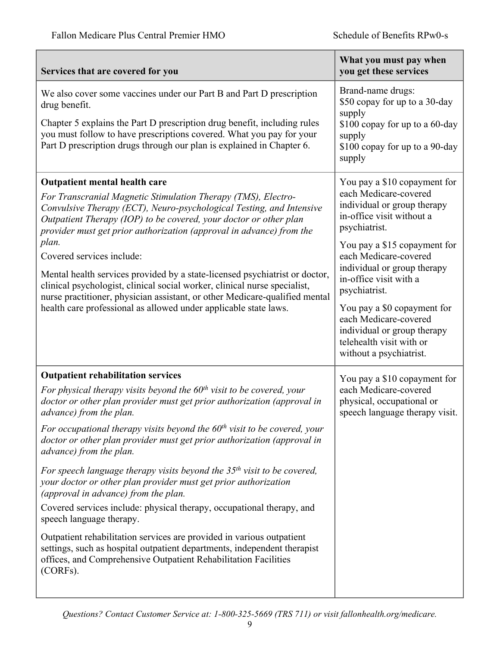| Services that are covered for you                                                                                                                                                                                                                                                                                                                                                                                                                                                                                                                                                                                                                                                                                                                                                                                                                                                                                                                | What you must pay when<br>you get these services                                                                                                                                                                                                                                                                                                                                                                    |
|--------------------------------------------------------------------------------------------------------------------------------------------------------------------------------------------------------------------------------------------------------------------------------------------------------------------------------------------------------------------------------------------------------------------------------------------------------------------------------------------------------------------------------------------------------------------------------------------------------------------------------------------------------------------------------------------------------------------------------------------------------------------------------------------------------------------------------------------------------------------------------------------------------------------------------------------------|---------------------------------------------------------------------------------------------------------------------------------------------------------------------------------------------------------------------------------------------------------------------------------------------------------------------------------------------------------------------------------------------------------------------|
| We also cover some vaccines under our Part B and Part D prescription<br>drug benefit.<br>Chapter 5 explains the Part D prescription drug benefit, including rules<br>you must follow to have prescriptions covered. What you pay for your<br>Part D prescription drugs through our plan is explained in Chapter 6.                                                                                                                                                                                                                                                                                                                                                                                                                                                                                                                                                                                                                               | Brand-name drugs:<br>\$50 copay for up to a 30-day<br>supply<br>\$100 copay for up to a 60-day<br>supply<br>\$100 copay for up to a 90-day<br>supply                                                                                                                                                                                                                                                                |
| <b>Outpatient mental health care</b><br>For Transcranial Magnetic Stimulation Therapy (TMS), Electro-<br>Convulsive Therapy (ECT), Neuro-psychological Testing, and Intensive<br>Outpatient Therapy (IOP) to be covered, your doctor or other plan<br>provider must get prior authorization (approval in advance) from the<br>plan.<br>Covered services include:<br>Mental health services provided by a state-licensed psychiatrist or doctor,<br>clinical psychologist, clinical social worker, clinical nurse specialist,<br>nurse practitioner, physician assistant, or other Medicare-qualified mental<br>health care professional as allowed under applicable state laws.                                                                                                                                                                                                                                                                  | You pay a \$10 copayment for<br>each Medicare-covered<br>individual or group therapy<br>in-office visit without a<br>psychiatrist.<br>You pay a \$15 copayment for<br>each Medicare-covered<br>individual or group therapy<br>in-office visit with a<br>psychiatrist.<br>You pay a \$0 copayment for<br>each Medicare-covered<br>individual or group therapy<br>telehealth visit with or<br>without a psychiatrist. |
| <b>Outpatient rehabilitation services</b><br>For physical therapy visits beyond the $60th$ visit to be covered, your<br>doctor or other plan provider must get prior authorization (approval in<br>advance) from the plan.<br>For occupational therapy visits beyond the $60th$ visit to be covered, your<br>doctor or other plan provider must get prior authorization (approval in<br>advance) from the plan.<br>For speech language therapy visits beyond the $35th$ visit to be covered,<br>your doctor or other plan provider must get prior authorization<br>(approval in advance) from the plan.<br>Covered services include: physical therapy, occupational therapy, and<br>speech language therapy.<br>Outpatient rehabilitation services are provided in various outpatient<br>settings, such as hospital outpatient departments, independent therapist<br>offices, and Comprehensive Outpatient Rehabilitation Facilities<br>(CORFs). | You pay a \$10 copayment for<br>each Medicare-covered<br>physical, occupational or<br>speech language therapy visit.                                                                                                                                                                                                                                                                                                |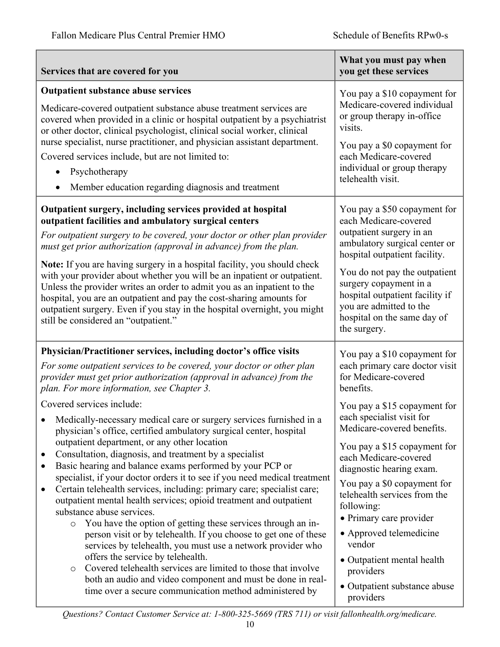| Services that are covered for you                                                                                                                                                                                                                                                                                                                                                                                                                                                                                                                                                                                                                                                                                                                                                                                                                                                                                                                                                                                                                                                      | What you must pay when<br>you get these services                                                                                                                                                                                                                                                                                                                                                                  |
|----------------------------------------------------------------------------------------------------------------------------------------------------------------------------------------------------------------------------------------------------------------------------------------------------------------------------------------------------------------------------------------------------------------------------------------------------------------------------------------------------------------------------------------------------------------------------------------------------------------------------------------------------------------------------------------------------------------------------------------------------------------------------------------------------------------------------------------------------------------------------------------------------------------------------------------------------------------------------------------------------------------------------------------------------------------------------------------|-------------------------------------------------------------------------------------------------------------------------------------------------------------------------------------------------------------------------------------------------------------------------------------------------------------------------------------------------------------------------------------------------------------------|
| <b>Outpatient substance abuse services</b><br>Medicare-covered outpatient substance abuse treatment services are<br>covered when provided in a clinic or hospital outpatient by a psychiatrist<br>or other doctor, clinical psychologist, clinical social worker, clinical<br>nurse specialist, nurse practitioner, and physician assistant department.<br>Covered services include, but are not limited to:<br>Psychotherapy<br>Member education regarding diagnosis and treatment<br>$\bullet$                                                                                                                                                                                                                                                                                                                                                                                                                                                                                                                                                                                       | You pay a \$10 copayment for<br>Medicare-covered individual<br>or group therapy in-office<br>visits.<br>You pay a \$0 copayment for<br>each Medicare-covered<br>individual or group therapy<br>telehealth visit.                                                                                                                                                                                                  |
| Outpatient surgery, including services provided at hospital<br>outpatient facilities and ambulatory surgical centers<br>For outpatient surgery to be covered, your doctor or other plan provider<br>must get prior authorization (approval in advance) from the plan.<br>Note: If you are having surgery in a hospital facility, you should check<br>with your provider about whether you will be an inpatient or outpatient.<br>Unless the provider writes an order to admit you as an inpatient to the<br>hospital, you are an outpatient and pay the cost-sharing amounts for<br>outpatient surgery. Even if you stay in the hospital overnight, you might<br>still be considered an "outpatient."                                                                                                                                                                                                                                                                                                                                                                                  | You pay a \$50 copayment for<br>each Medicare-covered<br>outpatient surgery in an<br>ambulatory surgical center or<br>hospital outpatient facility.<br>You do not pay the outpatient<br>surgery copayment in a<br>hospital outpatient facility if<br>you are admitted to the<br>hospital on the same day of<br>the surgery.                                                                                       |
| Physician/Practitioner services, including doctor's office visits<br>For some outpatient services to be covered, your doctor or other plan<br>provider must get prior authorization (approval in advance) from the<br>plan. For more information, see Chapter 3.                                                                                                                                                                                                                                                                                                                                                                                                                                                                                                                                                                                                                                                                                                                                                                                                                       | You pay a \$10 copayment for<br>each primary care doctor visit<br>for Medicare-covered<br>benefits.                                                                                                                                                                                                                                                                                                               |
| Covered services include:<br>Medically-necessary medical care or surgery services furnished in a<br>physician's office, certified ambulatory surgical center, hospital<br>outpatient department, or any other location<br>Consultation, diagnosis, and treatment by a specialist<br>٠<br>Basic hearing and balance exams performed by your PCP or<br>٠<br>specialist, if your doctor orders it to see if you need medical treatment<br>Certain telehealth services, including: primary care; specialist care;<br>$\bullet$<br>outpatient mental health services; opioid treatment and outpatient<br>substance abuse services.<br>You have the option of getting these services through an in-<br>$\circ$<br>person visit or by telehealth. If you choose to get one of these<br>services by telehealth, you must use a network provider who<br>offers the service by telehealth.<br>Covered telehealth services are limited to those that involve<br>$\circ$<br>both an audio and video component and must be done in real-<br>time over a secure communication method administered by | You pay a \$15 copayment for<br>each specialist visit for<br>Medicare-covered benefits.<br>You pay a \$15 copayment for<br>each Medicare-covered<br>diagnostic hearing exam.<br>You pay a \$0 copayment for<br>telehealth services from the<br>following:<br>· Primary care provider<br>• Approved telemedicine<br>vendor<br>• Outpatient mental health<br>providers<br>• Outpatient substance abuse<br>providers |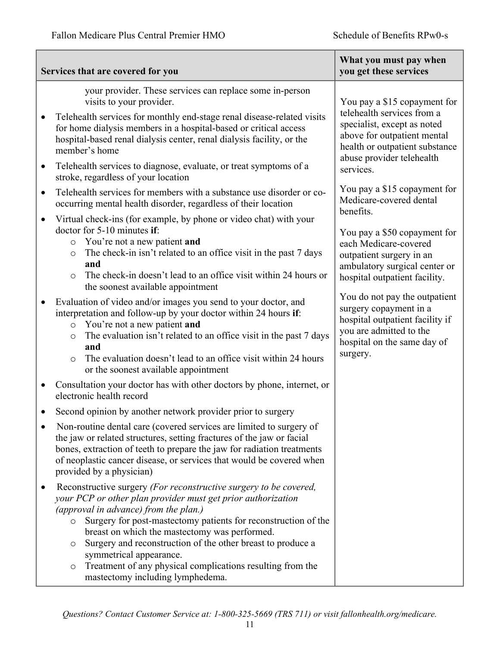|                                     | Services that are covered for you                                                                                                                                                                                                                                                                                                                                                                                                                                                                                                                                                                                                                                                                                                                                                                                                                       | What you must pay when<br>you get these services                                                                                                                                                                                                                                                                                                                                                                                                                                                                                                                                                        |
|-------------------------------------|---------------------------------------------------------------------------------------------------------------------------------------------------------------------------------------------------------------------------------------------------------------------------------------------------------------------------------------------------------------------------------------------------------------------------------------------------------------------------------------------------------------------------------------------------------------------------------------------------------------------------------------------------------------------------------------------------------------------------------------------------------------------------------------------------------------------------------------------------------|---------------------------------------------------------------------------------------------------------------------------------------------------------------------------------------------------------------------------------------------------------------------------------------------------------------------------------------------------------------------------------------------------------------------------------------------------------------------------------------------------------------------------------------------------------------------------------------------------------|
| $\bullet$<br>$\bullet$<br>$\bullet$ | your provider. These services can replace some in-person<br>visits to your provider.<br>Telehealth services for monthly end-stage renal disease-related visits<br>for home dialysis members in a hospital-based or critical access<br>hospital-based renal dialysis center, renal dialysis facility, or the<br>member's home<br>Telehealth services to diagnose, evaluate, or treat symptoms of a<br>stroke, regardless of your location<br>Telehealth services for members with a substance use disorder or co-<br>occurring mental health disorder, regardless of their location                                                                                                                                                                                                                                                                      | You pay a \$15 copayment for<br>telehealth services from a<br>specialist, except as noted<br>above for outpatient mental<br>health or outpatient substance<br>abuse provider telehealth<br>services.<br>You pay a \$15 copayment for<br>Medicare-covered dental<br>benefits.<br>You pay a \$50 copayment for<br>each Medicare-covered<br>outpatient surgery in an<br>ambulatory surgical center or<br>hospital outpatient facility.<br>You do not pay the outpatient<br>surgery copayment in a<br>hospital outpatient facility if<br>you are admitted to the<br>hospital on the same day of<br>surgery. |
| $\bullet$<br>$\bullet$<br>$\bullet$ | Virtual check-ins (for example, by phone or video chat) with your<br>doctor for 5-10 minutes if:<br>You're not a new patient and<br>$\circ$<br>The check-in isn't related to an office visit in the past 7 days<br>$\circ$<br>and<br>The check-in doesn't lead to an office visit within 24 hours or<br>$\circ$<br>the soonest available appointment<br>Evaluation of video and/or images you send to your doctor, and<br>interpretation and follow-up by your doctor within 24 hours if:<br>You're not a new patient and<br>$\circ$<br>The evaluation isn't related to an office visit in the past 7 days<br>$\circ$<br>and<br>The evaluation doesn't lead to an office visit within 24 hours<br>$\circ$<br>or the soonest available appointment<br>Consultation your doctor has with other doctors by phone, internet, or<br>electronic health record |                                                                                                                                                                                                                                                                                                                                                                                                                                                                                                                                                                                                         |
|                                     | Second opinion by another network provider prior to surgery<br>Non-routine dental care (covered services are limited to surgery of<br>the jaw or related structures, setting fractures of the jaw or facial<br>bones, extraction of teeth to prepare the jaw for radiation treatments<br>of neoplastic cancer disease, or services that would be covered when<br>provided by a physician)                                                                                                                                                                                                                                                                                                                                                                                                                                                               |                                                                                                                                                                                                                                                                                                                                                                                                                                                                                                                                                                                                         |
| $\bullet$                           | Reconstructive surgery (For reconstructive surgery to be covered,<br>your PCP or other plan provider must get prior authorization<br>(approval in advance) from the plan.)<br>Surgery for post-mastectomy patients for reconstruction of the<br>$\circ$<br>breast on which the mastectomy was performed.<br>Surgery and reconstruction of the other breast to produce a<br>$\circ$<br>symmetrical appearance.<br>Treatment of any physical complications resulting from the<br>$\circ$<br>mastectomy including lymphedema.                                                                                                                                                                                                                                                                                                                              |                                                                                                                                                                                                                                                                                                                                                                                                                                                                                                                                                                                                         |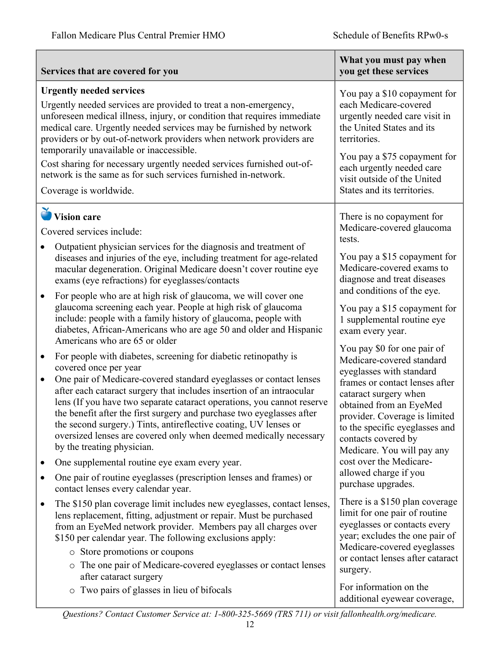|                                                                                                                                                                                                                                                                                                                                                                                                                                                                                                                                              | Services that are covered for you                                                                                                                                                                                                                                                                                                                                                                                                                                                                                                                                 | What you must pay when<br>you get these services                                                                                                                                                                                                                                                   |
|----------------------------------------------------------------------------------------------------------------------------------------------------------------------------------------------------------------------------------------------------------------------------------------------------------------------------------------------------------------------------------------------------------------------------------------------------------------------------------------------------------------------------------------------|-------------------------------------------------------------------------------------------------------------------------------------------------------------------------------------------------------------------------------------------------------------------------------------------------------------------------------------------------------------------------------------------------------------------------------------------------------------------------------------------------------------------------------------------------------------------|----------------------------------------------------------------------------------------------------------------------------------------------------------------------------------------------------------------------------------------------------------------------------------------------------|
| <b>Urgently needed services</b><br>Urgently needed services are provided to treat a non-emergency,<br>unforeseen medical illness, injury, or condition that requires immediate<br>medical care. Urgently needed services may be furnished by network<br>providers or by out-of-network providers when network providers are<br>temporarily unavailable or inaccessible.<br>Cost sharing for necessary urgently needed services furnished out-of-<br>network is the same as for such services furnished in-network.<br>Coverage is worldwide. |                                                                                                                                                                                                                                                                                                                                                                                                                                                                                                                                                                   | You pay a \$10 copayment for<br>each Medicare-covered<br>urgently needed care visit in<br>the United States and its<br>territories.<br>You pay a \$75 copayment for<br>each urgently needed care<br>visit outside of the United<br>States and its territories.                                     |
|                                                                                                                                                                                                                                                                                                                                                                                                                                                                                                                                              | <b>Vision care</b><br>Covered services include:<br>Outpatient physician services for the diagnosis and treatment of<br>diseases and injuries of the eye, including treatment for age-related                                                                                                                                                                                                                                                                                                                                                                      | There is no copayment for<br>Medicare-covered glaucoma<br>tests.<br>You pay a \$15 copayment for                                                                                                                                                                                                   |
| $\bullet$                                                                                                                                                                                                                                                                                                                                                                                                                                                                                                                                    | macular degeneration. Original Medicare doesn't cover routine eye<br>exams (eye refractions) for eyeglasses/contacts<br>For people who are at high risk of glaucoma, we will cover one                                                                                                                                                                                                                                                                                                                                                                            | Medicare-covered exams to<br>diagnose and treat diseases<br>and conditions of the eye.                                                                                                                                                                                                             |
|                                                                                                                                                                                                                                                                                                                                                                                                                                                                                                                                              | glaucoma screening each year. People at high risk of glaucoma<br>include: people with a family history of glaucoma, people with<br>diabetes, African-Americans who are age 50 and older and Hispanic<br>Americans who are 65 or older                                                                                                                                                                                                                                                                                                                             | You pay a \$15 copayment for<br>1 supplemental routine eye<br>exam every year.                                                                                                                                                                                                                     |
| $\bullet$<br>$\bullet$                                                                                                                                                                                                                                                                                                                                                                                                                                                                                                                       | For people with diabetes, screening for diabetic retinopathy is<br>covered once per year<br>One pair of Medicare-covered standard eyeglasses or contact lenses<br>after each cataract surgery that includes insertion of an intraocular<br>lens (If you have two separate cataract operations, you cannot reserve<br>the benefit after the first surgery and purchase two eyeglasses after<br>the second surgery.) Tints, antireflective coating, UV lenses or<br>oversized lenses are covered only when deemed medically necessary<br>by the treating physician. | You pay \$0 for one pair of<br>Medicare-covered standard<br>eyeglasses with standard<br>frames or contact lenses after<br>cataract surgery when<br>obtained from an EyeMed<br>provider. Coverage is limited<br>to the specific eyeglasses and<br>contacts covered by<br>Medicare. You will pay any |
| $\bullet$<br>٠                                                                                                                                                                                                                                                                                                                                                                                                                                                                                                                               | One supplemental routine eye exam every year.<br>One pair of routine eyeglasses (prescription lenses and frames) or<br>contact lenses every calendar year.                                                                                                                                                                                                                                                                                                                                                                                                        | cost over the Medicare-<br>allowed charge if you<br>purchase upgrades.                                                                                                                                                                                                                             |
| $\bullet$                                                                                                                                                                                                                                                                                                                                                                                                                                                                                                                                    | The \$150 plan coverage limit includes new eyeglasses, contact lenses,<br>lens replacement, fitting, adjustment or repair. Must be purchased<br>from an EyeMed network provider. Members pay all charges over<br>\$150 per calendar year. The following exclusions apply:<br>• Store promotions or coupons<br>o The one pair of Medicare-covered eyeglasses or contact lenses<br>after cataract surgery                                                                                                                                                           | There is a \$150 plan coverage<br>limit for one pair of routine<br>eyeglasses or contacts every<br>year; excludes the one pair of<br>Medicare-covered eyeglasses<br>or contact lenses after cataract<br>surgery.                                                                                   |
|                                                                                                                                                                                                                                                                                                                                                                                                                                                                                                                                              | o Two pairs of glasses in lieu of bifocals                                                                                                                                                                                                                                                                                                                                                                                                                                                                                                                        | For information on the<br>additional eyewear coverage,                                                                                                                                                                                                                                             |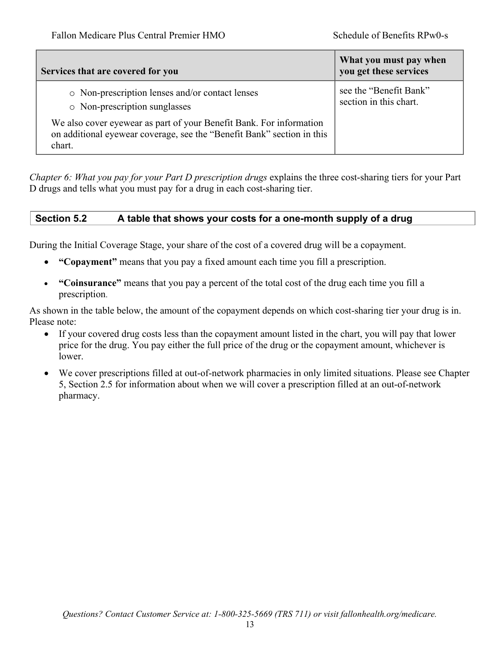| Services that are covered for you                                                                                                                       | What you must pay when<br>you get these services |
|---------------------------------------------------------------------------------------------------------------------------------------------------------|--------------------------------------------------|
| • Non-prescription lenses and/or contact lenses<br>o Non-prescription sunglasses                                                                        | see the "Benefit Bank"<br>section in this chart. |
| We also cover eyewear as part of your Benefit Bank. For information<br>on additional eyewear coverage, see the "Benefit Bank" section in this<br>chart. |                                                  |

*Chapter 6: What you pay for your Part D prescription drugs* explains the three cost-sharing tiers for your Part D drugs and tells what you must pay for a drug in each cost-sharing tier.

## **Section 5.2 A table that shows your costs for a one-month supply of a drug**

During the Initial Coverage Stage, your share of the cost of a covered drug will be a copayment.

- **"Copayment"** means that you pay a fixed amount each time you fill a prescription.
- **"Coinsurance"** means that you pay a percent of the total cost of the drug each time you fill a prescription.

As shown in the table below, the amount of the copayment depends on which cost-sharing tier your drug is in. Please note:

- If your covered drug costs less than the copayment amount listed in the chart, you will pay that lower price for the drug. You pay either the full price of the drug or the copayment amount, whichever is lower.
- We cover prescriptions filled at out-of-network pharmacies in only limited situations. Please see Chapter 5, Section 2.5 for information about when we will cover a prescription filled at an out-of-network pharmacy.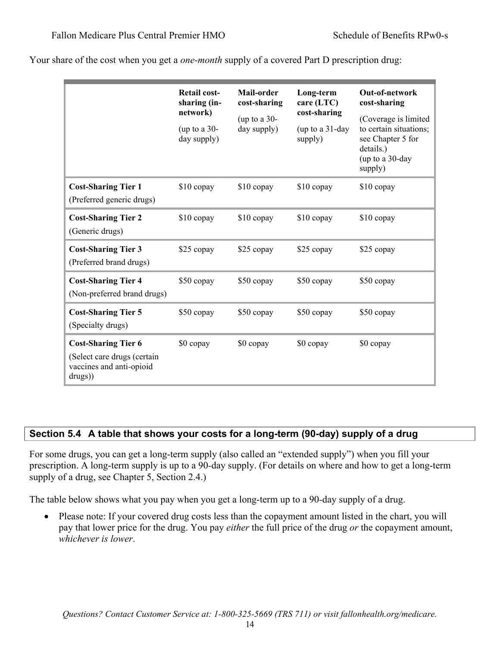|                                                                                                  | <b>Retail cost-</b><br>sharing (in-<br>network)<br>(up to a $30-$<br>day supply) | Mail-order<br>cost-sharing<br>(up to a 30-<br>day supply) | Long-term<br>care (LTC)<br>cost-sharing<br>(up to a 31-day<br>supply) | Out-of-network<br>cost-sharing<br>(Coverage is limited<br>to certain situations;<br>see Chapter 5 for<br>details.)<br>(up to a 30-day<br>supply) |
|--------------------------------------------------------------------------------------------------|----------------------------------------------------------------------------------|-----------------------------------------------------------|-----------------------------------------------------------------------|--------------------------------------------------------------------------------------------------------------------------------------------------|
| <b>Cost-Sharing Tier 1</b><br>(Preferred generic drugs)                                          | \$10 copay                                                                       | $$10$ copay                                               | $$10$ copay                                                           | $$10$ copay                                                                                                                                      |
| <b>Cost-Sharing Tier 2</b><br>(Generic drugs)                                                    | \$10 copay                                                                       | \$10 copay                                                | $$10$ copay                                                           | $$10$ copay                                                                                                                                      |
| <b>Cost-Sharing Tier 3</b><br>(Preferred brand drugs)                                            | \$25 copay                                                                       | \$25 copay                                                | \$25 copay                                                            | \$25 copay                                                                                                                                       |
| <b>Cost-Sharing Tier 4</b><br>(Non-preferred brand drugs)                                        | \$50 copay                                                                       | \$50 copay                                                | \$50 copay                                                            | \$50 copay                                                                                                                                       |
| <b>Cost-Sharing Tier 5</b><br>(Specialty drugs)                                                  | \$50 copay                                                                       | \$50 copay                                                | \$50 copay                                                            | \$50 copay                                                                                                                                       |
| <b>Cost-Sharing Tier 6</b><br>(Select care drugs (certain<br>vaccines and anti-opioid<br>drugs)) | \$0 copay                                                                        | \$0 copay                                                 | \$0 copay                                                             | \$0 copay                                                                                                                                        |

Your share of the cost when you get a *one-month* supply of a covered Part D prescription drug:

## **Section 5.4 A table that shows your costs for a long-term (90-day) supply of a drug**

For some drugs, you can get a long-term supply (also called an "extended supply") when you fill your prescription. A long-term supply is up to a 90*-*day supply. (For details on where and how to get a long-term supply of a drug, see Chapter 5, Section 2.4.)

The table below shows what you pay when you get a long-term up to a 90*-*day supply of a drug.

• Please note: If your covered drug costs less than the copayment amount listed in the chart, you will pay that lower price for the drug. You pay *either* the full price of the drug *or* the copayment amount, *whichever is lower*.